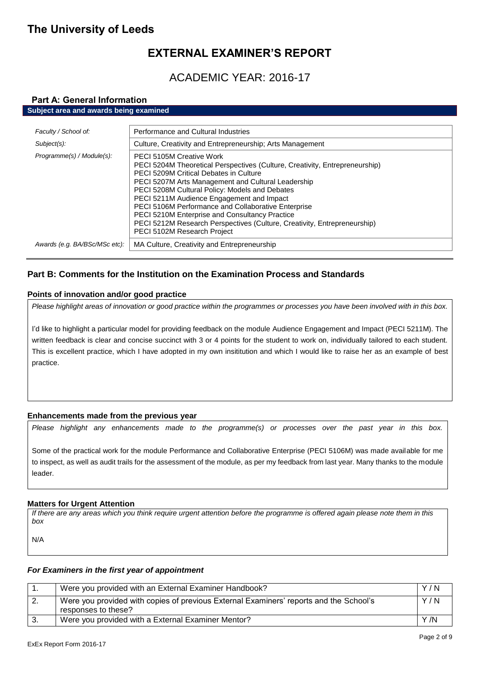# **EXTERNAL EXAMINER'S REPORT**

# ACADEMIC YEAR: 2016-17

## **Part A: General Information**

### **Subject area and awards being examined**

| Faculty / School of:          | Performance and Cultural Industries                                                                                                                                                                                                                                                                                                                                                                                                                                                                                                      |
|-------------------------------|------------------------------------------------------------------------------------------------------------------------------------------------------------------------------------------------------------------------------------------------------------------------------------------------------------------------------------------------------------------------------------------------------------------------------------------------------------------------------------------------------------------------------------------|
| Subject(s):                   | Culture, Creativity and Entrepreneurship; Arts Management                                                                                                                                                                                                                                                                                                                                                                                                                                                                                |
| Programme(s) / Module(s):     | <b>PECI 5105M Creative Work</b><br>PECI 5204M Theoretical Perspectives (Culture, Creativity, Entrepreneurship)<br><b>PECI 5209M Critical Debates in Culture</b><br>PECI 5207M Arts Management and Cultural Leadership<br>PECI 5208M Cultural Policy: Models and Debates<br>PECI 5211M Audience Engagement and Impact<br>PECI 5106M Performance and Collaborative Enterprise<br>PECI 5210M Enterprise and Consultancy Practice<br>PECI 5212M Research Perspectives (Culture, Creativity, Entrepreneurship)<br>PECI 5102M Research Project |
| Awards (e.g. BA/BSc/MSc etc): | MA Culture, Creativity and Entrepreneurship                                                                                                                                                                                                                                                                                                                                                                                                                                                                                              |

## **Part B: Comments for the Institution on the Examination Process and Standards**

### **Points of innovation and/or good practice**

*Please highlight areas of innovation or good practice within the programmes or processes you have been involved with in this box.*

I'd like to highlight a particular model for providing feedback on the module Audience Engagement and Impact (PECI 5211M). The written feedback is clear and concise succinct with 3 or 4 points for the student to work on, individually tailored to each student. This is excellent practice, which I have adopted in my own insititution and which I would like to raise her as an example of best practice.

## **Enhancements made from the previous year**

*Please highlight any enhancements made to the programme(s) or processes over the past year in this box.*

Some of the practical work for the module Performance and Collaborative Enterprise (PECI 5106M) was made available for me to inspect, as well as audit trails for the assessment of the module, as per my feedback from last year. Many thanks to the module leader.

### **Matters for Urgent Attention**

*If there are any areas which you think require urgent attention before the programme is offered again please note them in this box*

N/A

### *For Examiners in the first year of appointment*

|     | Were you provided with an External Examiner Handbook?                                                         | Y/N  |
|-----|---------------------------------------------------------------------------------------------------------------|------|
| -2. | Were you provided with copies of previous External Examiners' reports and the School's<br>responses to these? | Y/N  |
|     | Were you provided with a External Examiner Mentor?                                                            | Y /N |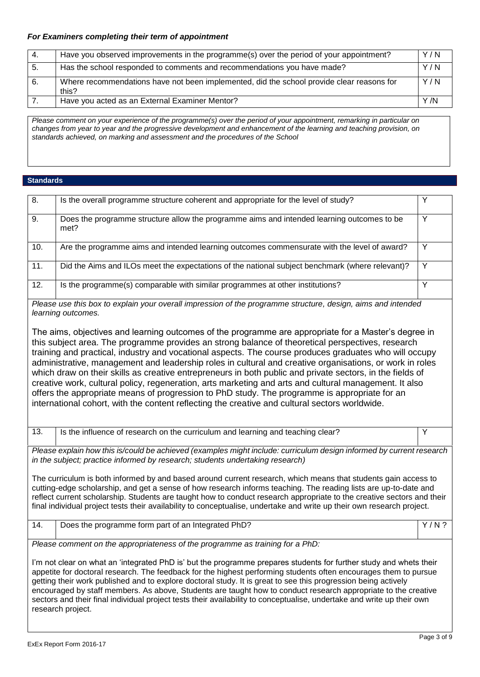## *For Examiners completing their term of appointment*

| 4. | Have you observed improvements in the programme(s) over the period of your appointment?            | Y/N  |
|----|----------------------------------------------------------------------------------------------------|------|
| 5. | Has the school responded to comments and recommendations you have made?                            | Y/N  |
| 6. | Where recommendations have not been implemented, did the school provide clear reasons for<br>this? | Y/N  |
|    | Have you acted as an External Examiner Mentor?                                                     | Y /N |

*Please comment on your experience of the programme(s) over the period of your appointment, remarking in particular on changes from year to year and the progressive development and enhancement of the learning and teaching provision, on standards achieved, on marking and assessment and the procedures of the School*

### **Standards**

| 8.                                                                                                                                                                                                                                                                                                                                                                                                                                                                                                                                                                                                                        | Is the overall programme structure coherent and appropriate for the level of study?                                                                                                                                                                                                                                                                                                                                                                                                                                                                                                                                                                                                                                                                                                                                                                       | Y       |
|---------------------------------------------------------------------------------------------------------------------------------------------------------------------------------------------------------------------------------------------------------------------------------------------------------------------------------------------------------------------------------------------------------------------------------------------------------------------------------------------------------------------------------------------------------------------------------------------------------------------------|-----------------------------------------------------------------------------------------------------------------------------------------------------------------------------------------------------------------------------------------------------------------------------------------------------------------------------------------------------------------------------------------------------------------------------------------------------------------------------------------------------------------------------------------------------------------------------------------------------------------------------------------------------------------------------------------------------------------------------------------------------------------------------------------------------------------------------------------------------------|---------|
| 9.                                                                                                                                                                                                                                                                                                                                                                                                                                                                                                                                                                                                                        | Does the programme structure allow the programme aims and intended learning outcomes to be<br>met?                                                                                                                                                                                                                                                                                                                                                                                                                                                                                                                                                                                                                                                                                                                                                        | Y       |
| 10.                                                                                                                                                                                                                                                                                                                                                                                                                                                                                                                                                                                                                       | Are the programme aims and intended learning outcomes commensurate with the level of award?                                                                                                                                                                                                                                                                                                                                                                                                                                                                                                                                                                                                                                                                                                                                                               | Y       |
| 11.                                                                                                                                                                                                                                                                                                                                                                                                                                                                                                                                                                                                                       | Did the Aims and ILOs meet the expectations of the national subject benchmark (where relevant)?                                                                                                                                                                                                                                                                                                                                                                                                                                                                                                                                                                                                                                                                                                                                                           | Y       |
| 12.                                                                                                                                                                                                                                                                                                                                                                                                                                                                                                                                                                                                                       | Is the programme(s) comparable with similar programmes at other institutions?                                                                                                                                                                                                                                                                                                                                                                                                                                                                                                                                                                                                                                                                                                                                                                             | Y       |
|                                                                                                                                                                                                                                                                                                                                                                                                                                                                                                                                                                                                                           | Please use this box to explain your overall impression of the programme structure, design, aims and intended<br>learning outcomes.                                                                                                                                                                                                                                                                                                                                                                                                                                                                                                                                                                                                                                                                                                                        |         |
|                                                                                                                                                                                                                                                                                                                                                                                                                                                                                                                                                                                                                           | The aims, objectives and learning outcomes of the programme are appropriate for a Master's degree in<br>this subject area. The programme provides an strong balance of theoretical perspectives, research<br>training and practical, industry and vocational aspects. The course produces graduates who will occupy<br>administrative, management and leadership roles in cultural and creative organisations, or work in roles<br>which draw on their skills as creative entrepreneurs in both public and private sectors, in the fields of<br>creative work, cultural policy, regeneration, arts marketing and arts and cultural management. It also<br>offers the appropriate means of progression to PhD study. The programme is appropriate for an<br>international cohort, with the content reflecting the creative and cultural sectors worldwide. |         |
| 13.                                                                                                                                                                                                                                                                                                                                                                                                                                                                                                                                                                                                                       | Is the influence of research on the curriculum and learning and teaching clear?                                                                                                                                                                                                                                                                                                                                                                                                                                                                                                                                                                                                                                                                                                                                                                           | Y       |
|                                                                                                                                                                                                                                                                                                                                                                                                                                                                                                                                                                                                                           | Please explain how this is/could be achieved (examples might include: curriculum design informed by current research<br>in the subject; practice informed by research; students undertaking research)                                                                                                                                                                                                                                                                                                                                                                                                                                                                                                                                                                                                                                                     |         |
|                                                                                                                                                                                                                                                                                                                                                                                                                                                                                                                                                                                                                           | The curriculum is both informed by and based around current research, which means that students gain access to<br>cutting-edge scholarship, and get a sense of how research informs teaching. The reading lists are up-to-date and<br>reflect current scholarship. Students are taught how to conduct research appropriate to the creative sectors and their<br>final individual project tests their availability to conceptualise, undertake and write up their own research project.                                                                                                                                                                                                                                                                                                                                                                    |         |
| $\overline{14}$ .                                                                                                                                                                                                                                                                                                                                                                                                                                                                                                                                                                                                         | Does the programme form part of an Integrated PhD?                                                                                                                                                                                                                                                                                                                                                                                                                                                                                                                                                                                                                                                                                                                                                                                                        | $Y/N$ ? |
|                                                                                                                                                                                                                                                                                                                                                                                                                                                                                                                                                                                                                           | Please comment on the appropriateness of the programme as training for a PhD:                                                                                                                                                                                                                                                                                                                                                                                                                                                                                                                                                                                                                                                                                                                                                                             |         |
| I'm not clear on what an 'integrated PhD is' but the programme prepares students for further study and whets their<br>appetite for doctoral research. The feedback for the highest performing students often encourages them to pursue<br>getting their work published and to explore doctoral study. It is great to see this progression being actively<br>encouraged by staff members. As above, Students are taught how to conduct research appropriate to the creative<br>sectors and their final individual project tests their availability to conceptualise, undertake and write up their own<br>research project. |                                                                                                                                                                                                                                                                                                                                                                                                                                                                                                                                                                                                                                                                                                                                                                                                                                                           |         |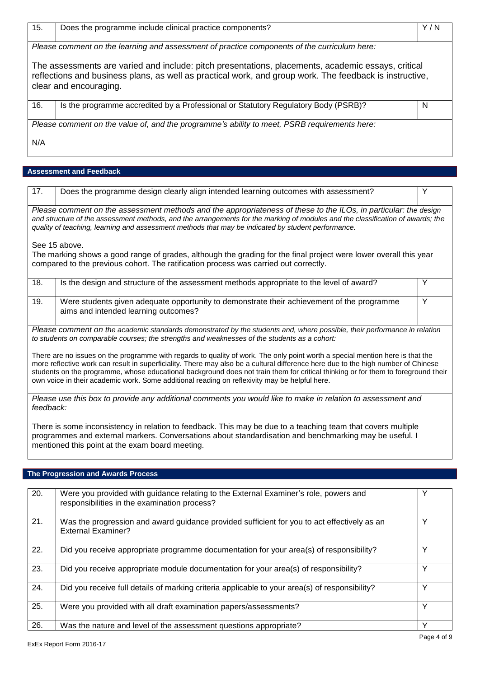| 15.                                                                                          | Does the programme include clinical practice components?                                                                                                                                                                                | Y/N |
|----------------------------------------------------------------------------------------------|-----------------------------------------------------------------------------------------------------------------------------------------------------------------------------------------------------------------------------------------|-----|
| Please comment on the learning and assessment of practice components of the curriculum here: |                                                                                                                                                                                                                                         |     |
|                                                                                              | The assessments are varied and include: pitch presentations, placements, academic essays, critical<br>reflections and business plans, as well as practical work, and group work. The feedback is instructive,<br>clear and encouraging. |     |
| 16.                                                                                          | Is the programme accredited by a Professional or Statutory Regulatory Body (PSRB)?                                                                                                                                                      | N   |
| Please comment on the value of, and the programme's ability to meet, PSRB requirements here: |                                                                                                                                                                                                                                         |     |
| N/A                                                                                          |                                                                                                                                                                                                                                         |     |

## **Assessment and Feedback**

| 17.                                                                                                                                                                                                                                                                                                                                                                                                                                                                                                      | Does the programme design clearly align intended learning outcomes with assessment?                                                | Y |  |
|----------------------------------------------------------------------------------------------------------------------------------------------------------------------------------------------------------------------------------------------------------------------------------------------------------------------------------------------------------------------------------------------------------------------------------------------------------------------------------------------------------|------------------------------------------------------------------------------------------------------------------------------------|---|--|
| Please comment on the assessment methods and the appropriateness of these to the ILOs, in particular: the design<br>and structure of the assessment methods, and the arrangements for the marking of modules and the classification of awards; the<br>quality of teaching, learning and assessment methods that may be indicated by student performance.                                                                                                                                                 |                                                                                                                                    |   |  |
|                                                                                                                                                                                                                                                                                                                                                                                                                                                                                                          | See 15 above.                                                                                                                      |   |  |
| The marking shows a good range of grades, although the grading for the final project were lower overall this year<br>compared to the previous cohort. The ratification process was carried out correctly.                                                                                                                                                                                                                                                                                                |                                                                                                                                    |   |  |
| 18.                                                                                                                                                                                                                                                                                                                                                                                                                                                                                                      | Is the design and structure of the assessment methods appropriate to the level of award?                                           | Y |  |
| 19.                                                                                                                                                                                                                                                                                                                                                                                                                                                                                                      | Were students given adequate opportunity to demonstrate their achievement of the programme<br>aims and intended learning outcomes? | Y |  |
| Please comment on the academic standards demonstrated by the students and, where possible, their performance in relation<br>to students on comparable courses; the strengths and weaknesses of the students as a cohort:                                                                                                                                                                                                                                                                                 |                                                                                                                                    |   |  |
| There are no issues on the programme with regards to quality of work. The only point worth a special mention here is that the<br>more reflective work can result in superficiality. There may also be a cultural difference here due to the high number of Chinese<br>students on the programme, whose educational background does not train them for critical thinking or for them to foreground their<br>own voice in their academic work. Some additional reading on reflexivity may be helpful here. |                                                                                                                                    |   |  |
| Please use this box to provide any additional comments you would like to make in relation to assessment and<br>feedback:                                                                                                                                                                                                                                                                                                                                                                                 |                                                                                                                                    |   |  |
| There is some inconsistency in relation to feedback. This may be due to a teaching team that covers multiple<br>programmes and external markers. Conversations about standardisation and benchmarking may be useful. I<br>mentioned this point at the exam board meeting.                                                                                                                                                                                                                                |                                                                                                                                    |   |  |

# **The Progression and Awards Process**

| 20. | Were you provided with guidance relating to the External Examiner's role, powers and<br>responsibilities in the examination process? |              |
|-----|--------------------------------------------------------------------------------------------------------------------------------------|--------------|
| 21. | Was the progression and award guidance provided sufficient for you to act effectively as an<br><b>External Examiner?</b>             |              |
| 22. | Did you receive appropriate programme documentation for your area(s) of responsibility?                                              |              |
| 23. | Did you receive appropriate module documentation for your area(s) of responsibility?                                                 | v            |
| 24. | Did you receive full details of marking criteria applicable to your area(s) of responsibility?                                       |              |
| 25. | Were you provided with all draft examination papers/assessments?                                                                     | v            |
| 26. | Was the nature and level of the assessment questions appropriate?                                                                    | $\checkmark$ |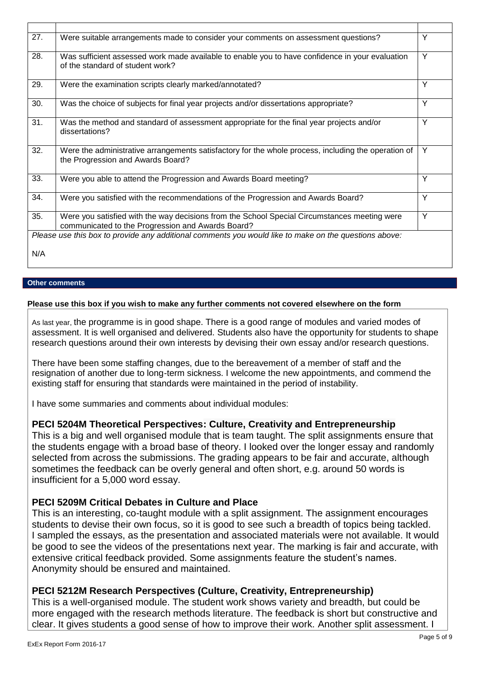| 27. | Were suitable arrangements made to consider your comments on assessment questions?                                                                | Y |
|-----|---------------------------------------------------------------------------------------------------------------------------------------------------|---|
| 28. | Was sufficient assessed work made available to enable you to have confidence in your evaluation<br>of the standard of student work?               | Y |
| 29. | Were the examination scripts clearly marked/annotated?                                                                                            | Y |
| 30. | Was the choice of subjects for final year projects and/or dissertations appropriate?                                                              | Y |
| 31. | Was the method and standard of assessment appropriate for the final year projects and/or<br>dissertations?                                        | Y |
| 32. | Were the administrative arrangements satisfactory for the whole process, including the operation of<br>the Progression and Awards Board?          | Y |
| 33. | Were you able to attend the Progression and Awards Board meeting?                                                                                 | Y |
| 34. | Were you satisfied with the recommendations of the Progression and Awards Board?                                                                  | Y |
| 35. | Were you satisfied with the way decisions from the School Special Circumstances meeting were<br>communicated to the Progression and Awards Board? | Y |
|     | Please use this box to provide any additional comments you would like to make on the questions above:                                             |   |
| N/A |                                                                                                                                                   |   |

## **Other comments**

### **Please use this box if you wish to make any further comments not covered elsewhere on the form**

As last year, the programme is in good shape. There is a good range of modules and varied modes of assessment. It is well organised and delivered. Students also have the opportunity for students to shape research questions around their own interests by devising their own essay and/or research questions.

There have been some staffing changes, due to the bereavement of a member of staff and the resignation of another due to long-term sickness. I welcome the new appointments, and commend the existing staff for ensuring that standards were maintained in the period of instability.

I have some summaries and comments about individual modules:

## **PECI 5204M Theoretical Perspectives: Culture, Creativity and Entrepreneurship**

This is a big and well organised module that is team taught. The split assignments ensure that the students engage with a broad base of theory. I looked over the longer essay and randomly selected from across the submissions. The grading appears to be fair and accurate, although sometimes the feedback can be overly general and often short, e.g. around 50 words is insufficient for a 5,000 word essay.

## **PECI 5209M Critical Debates in Culture and Place**

This is an interesting, co-taught module with a split assignment. The assignment encourages students to devise their own focus, so it is good to see such a breadth of topics being tackled. I sampled the essays, as the presentation and associated materials were not available. It would be good to see the videos of the presentations next year. The marking is fair and accurate, with extensive critical feedback provided. Some assignments feature the student's names. Anonymity should be ensured and maintained.

## **PECI 5212M Research Perspectives (Culture, Creativity, Entrepreneurship)**

This is a well-organised module. The student work shows variety and breadth, but could be more engaged with the research methods literature. The feedback is short but constructive and clear. It gives students a good sense of how to improve their work. Another split assessment. I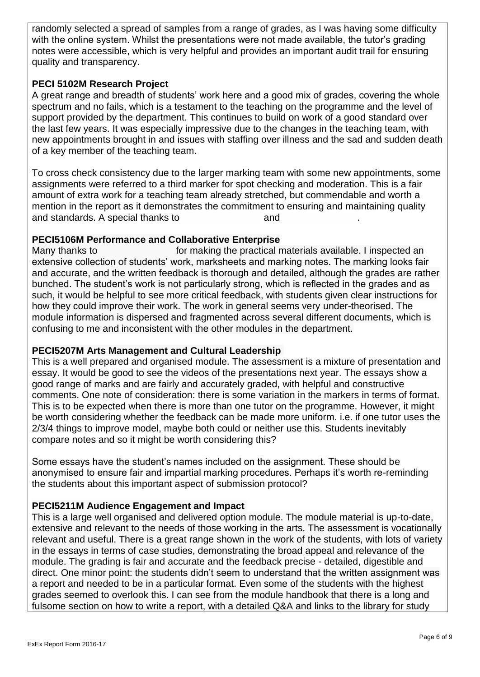randomly selected a spread of samples from a range of grades, as I was having some difficulty with the online system. Whilst the presentations were not made available, the tutor's grading notes were accessible, which is very helpful and provides an important audit trail for ensuring quality and transparency.

## **PECI 5102M Research Project**

A great range and breadth of students' work here and a good mix of grades, covering the whole spectrum and no fails, which is a testament to the teaching on the programme and the level of support provided by the department. This continues to build on work of a good standard over the last few years. It was especially impressive due to the changes in the teaching team, with new appointments brought in and issues with staffing over illness and the sad and sudden death of a key member of the teaching team.

To cross check consistency due to the larger marking team with some new appointments, some assignments were referred to a third marker for spot checking and moderation. This is a fair amount of extra work for a teaching team already stretched, but commendable and worth a mention in the report as it demonstrates the commitment to ensuring and maintaining quality and standards. A special thanks to **and ...** and ...

## **PECI5106M Performance and Collaborative Enterprise**

Many thanks to for making the practical materials available. I inspected an extensive collection of students' work, marksheets and marking notes. The marking looks fair and accurate, and the written feedback is thorough and detailed, although the grades are rather bunched. The student's work is not particularly strong, which is reflected in the grades and as such, it would be helpful to see more critical feedback, with students given clear instructions for how they could improve their work. The work in general seems very under-theorised. The module information is dispersed and fragmented across several different documents, which is confusing to me and inconsistent with the other modules in the department.

## **PECI5207M Arts Management and Cultural Leadership**

This is a well prepared and organised module. The assessment is a mixture of presentation and essay. It would be good to see the videos of the presentations next year. The essays show a good range of marks and are fairly and accurately graded, with helpful and constructive comments. One note of consideration: there is some variation in the markers in terms of format. This is to be expected when there is more than one tutor on the programme. However, it might be worth considering whether the feedback can be made more uniform. i.e. if one tutor uses the 2/3/4 things to improve model, maybe both could or neither use this. Students inevitably compare notes and so it might be worth considering this?

Some essays have the student's names included on the assignment. These should be anonymised to ensure fair and impartial marking procedures. Perhaps it's worth re-reminding the students about this important aspect of submission protocol?

## **PECI5211M Audience Engagement and Impact**

This is a large well organised and delivered option module. The module material is up-to-date, extensive and relevant to the needs of those working in the arts. The assessment is vocationally relevant and useful. There is a great range shown in the work of the students, with lots of variety in the essays in terms of case studies, demonstrating the broad appeal and relevance of the module. The grading is fair and accurate and the feedback precise - detailed, digestible and direct. One minor point: the students didn't seem to understand that the written assignment was a report and needed to be in a particular format. Even some of the students with the highest grades seemed to overlook this. I can see from the module handbook that there is a long and fulsome section on how to write a report, with a detailed Q&A and links to the library for study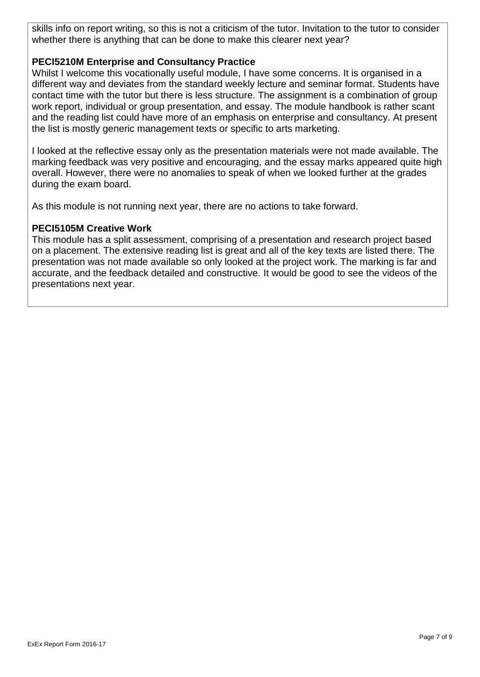skills info on report writing, so this is not a criticism of the tutor. Invitation to the tutor to consider whether there is anything that can be done to make this clearer next year?

## **PECI5210M Enterprise and Consultancy Practice**

Whilst I welcome this vocationally useful module, I have some concerns. It is organised in a different way and deviates from the standard weekly lecture and seminar format. Students have contact time with the tutor but there is less structure. The assignment is a combination of group work report, individual or group presentation, and essay. The module handbook is rather scant and the reading list could have more of an emphasis on enterprise and consultancy. At present the list is mostly generic management texts or specific to arts marketing.

I looked at the reflective essay only as the presentation materials were not made available. The marking feedback was very positive and encouraging, and the essay marks appeared quite high overall. However, there were no anomalies to speak of when we looked further at the grades during the exam board.

As this module is not running next year, there are no actions to take forward.

## **PECI5105M Creative Work**

This module has a split assessment, comprising of a presentation and research project based on a placement. The extensive reading list is great and all of the key texts are listed there. The presentation was not made available so only looked at the project work. The marking is far and accurate, and the feedback detailed and constructive. It would be good to see the videos of the presentations next year.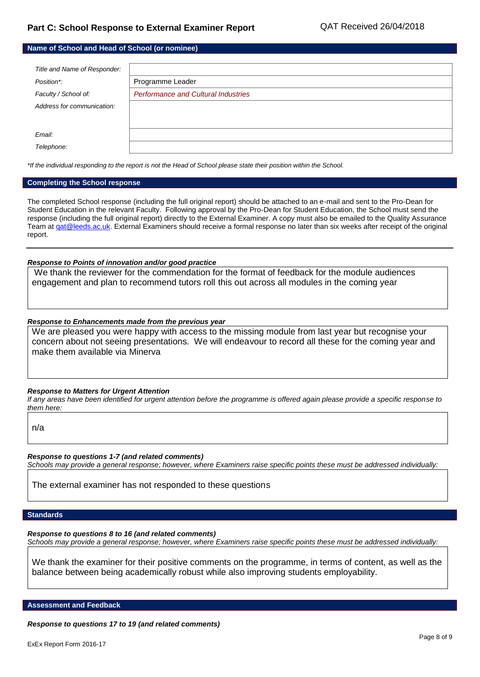| Name of School and Head of School (or nominee) |                                            |  |
|------------------------------------------------|--------------------------------------------|--|
|                                                |                                            |  |
| Title and Name of Responder:                   |                                            |  |
| Position*:                                     | Programme Leader                           |  |
| Faculty / School of:                           | <b>Performance and Cultural Industries</b> |  |
| Address for communication:                     |                                            |  |
|                                                |                                            |  |
| Email:                                         |                                            |  |
| Telephone:                                     |                                            |  |

*\*If the individual responding to the report is not the Head of School please state their position within the School.*

#### **Completing the School response**

The completed School response (including the full original report) should be attached to an e-mail and sent to the Pro-Dean for Student Education in the relevant Faculty. Following approval by the Pro-Dean for Student Education, the School must send the response (including the full original report) directly to the External Examiner. A copy must also be emailed to the Quality Assurance Team at gat@leeds.ac.uk. External Examiners should receive a formal response no later than six weeks after receipt of the original report.

#### *Response to Points of innovation and/or good practice*

We thank the reviewer for the commendation for the format of feedback for the module audiences engagement and plan to recommend tutors roll this out across all modules in the coming year

### *Response to Enhancements made from the previous year*

We are pleased you were happy with access to the missing module from last year but recognise your concern about not seeing presentations. We will endeavour to record all these for the coming year and make them available via Minerva

#### *Response to Matters for Urgent Attention*

*If any areas have been identified for urgent attention before the programme is offered again please provide a specific response to them here:*

n/a

*Response to questions 1-7 (and related comments) Schools may provide a general response; however, where Examiners raise specific points these must be addressed individually:*

The external examiner has not responded to these questions

### **Standards**

*Response to questions 8 to 16 (and related comments)*

*Schools may provide a general response; however, where Examiners raise specific points these must be addressed individually:*

We thank the examiner for their positive comments on the programme, in terms of content, as well as the balance between being academically robust while also improving students employability.

**Assessment and Feedback**

*Response to questions 17 to 19 (and related comments)*